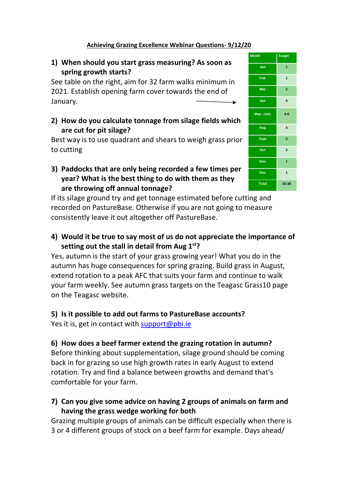#### **Achieving Grazing Excellence Webinar Questions- 9/12/20**

## **1) When should you start grass measuring? As soon as spring growth starts?**

See table on the right, aim for 32 farm walks minimum in 2021. Establish opening farm cover towards the end of January.

**2) How do you calculate tonnage from silage fields which are cut for pit silage?**

Best way is to use quadrant and shears to weigh grass prior to cutting

#### **3) Paddocks that are only being recorded a few times per year? What is the best thing to do with them as they are throwing off annual tonnage?**

If its silage ground try and get tonnage estimated before cutting and recorded on PastureBase. Otherwise if you are not going to measure consistently leave it out altogether off PastureBase.

## **4) Would it be true to say most of us do not appreciate the importance of setting out the stall in detail from Aug 1st?**

Yes, autumn is the start of your grass growing year! What you do in the autumn has huge consequences for spring grazing. Build grass in August, extend rotation to a peak AFC that suits your farm and continue to walk your farm weekly. See autumn grass targets on the Teagasc Grass10 page on the Teagasc website.

#### **5) Is it possible to add out farms to PastureBase accounts?**

Yes it is, get in contact with [support@pbi.ie](mailto:support@pbi.ie)

## **6) How does a beef farmer extend the grazing rotation in autumn?**

Before thinking about supplementation, silage ground should be coming back in for grazing so use high growth rates in early August to extend rotation. Try and find a balance between growths and demand that's comfortable for your farm.

**7) Can you give some advice on having 2 groups of animals on farm and having the grass wedge working for both**

Grazing multiple groups of animals can be difficult especially when there is 3 or 4 different groups of stock on a beef farm for example. Days ahead/

| <b>Month</b> | <b>Target</b>           |
|--------------|-------------------------|
| Jan          | $\overline{1}$          |
| Feb          | $\overline{1}$          |
| <b>Mar</b>   | $\overline{2}$          |
| Apr          | $\overline{\mathbf{4}}$ |
| May-July     | $4 - 6$                 |
| Aug          | $\overline{\mathbf{4}}$ |
| <b>Sept</b>  | 3                       |
| Oct          | 3                       |
| <b>Nov</b>   | $\overline{1}$          |
| <b>Dec</b>   | $\overline{1}$          |
| <b>Total</b> | 32-38                   |